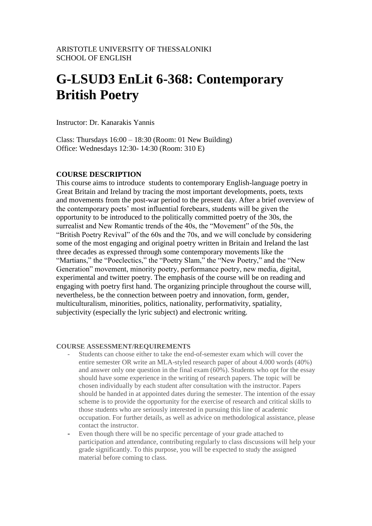# **G-LSUD3 EnLit 6-368: Contemporary British Poetry**

Instructor: Dr. Kanarakis Yannis

Class: Thursdays  $16:00 - 18:30$  (Room: 01 New Building) Office: Wednesdays 12:30- 14:30 (Room: 310 E)

#### **COURSE DESCRIPTION**

This course aims to introduce students to contemporary English-language poetry in Great Britain and Ireland by tracing the most important developments, poets, texts and movements from the post-war period to the present day. After a brief overview of the contemporary poets' most influential forebears, students will be given the opportunity to be introduced to the politically committed poetry of the 30s, the surrealist and New Romantic trends of the 40s, the "Movement" of the 50s, the "British Poetry Revival" of the 60s and the 70s, and we will conclude by considering some of the most engaging and original poetry written in Britain and Ireland the last three decades as expressed through some contemporary movements like the "Martians," the "Poeclectics," the "Poetry Slam," the "New Poetry," and the "New Generation" movement, minority poetry, performance poetry, new media, digital, experimental and twitter poetry. The emphasis of the course will be on reading and engaging with poetry first hand. The organizing principle throughout the course will, nevertheless, be the connection between poetry and innovation, form, gender, multiculturalism, minorities, politics, nationality, performativity, spatiality, subjectivity (especially the lyric subject) and electronic writing.

#### **COURSE ASSESSMENT/REQUIREMENTS**

- Students can choose either to take the end-of-semester exam which will cover the entire semester OR write an MLA-styled research paper of about 4.000 words (40%) and answer only one question in the final exam (60%). Students who opt for the essay should have some experience in the writing of research papers. The topic will be chosen individually by each student after consultation with the instructor. Papers should be handed in at appointed dates during the semester. The intention of the essay scheme is to provide the opportunity for the exercise of research and critical skills to those students who are seriously interested in pursuing this line of academic occupation. For further details, as well as advice on methodological assistance, please contact the instructor.
- Even though there will be no specific percentage of your grade attached to participation and attendance, contributing regularly to class discussions will help your grade significantly. To this purpose, you will be expected to study the assigned material before coming to class.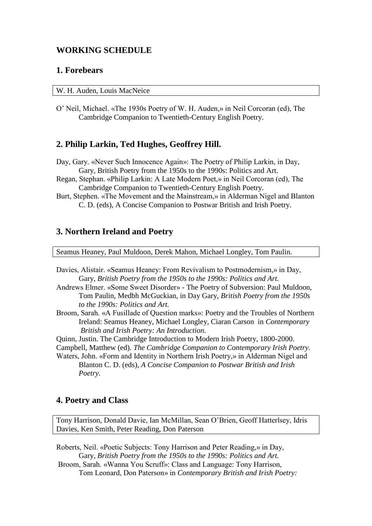## **WORKING SCHEDULE**

## **1. Forebears**

|  |  |  |  | W. H. Auden, Louis MacNeice |
|--|--|--|--|-----------------------------|
|--|--|--|--|-----------------------------|

O' Neil, Michael. «The 1930s Poetry of W. H. Auden,» in Neil Corcoran (ed), The Cambridge Companion to Twentieth-Century English Poetry.

## **2. Philip Larkin, Ted Hughes, Geoffrey Hill.**

Day, Gary. «Never Such Innocence Again»: The Poetry of Philip Larkin, in Day, Gary, British Poetry from the 1950s to the 1990s: Politics and Art.

- Regan, Stephan. «Philip Larkin: A Late Modern Poet,» in Neil Corcoran (ed), The Cambridge Companion to Twentieth-Century English Poetry.
- Burt, Stephen. «The Movement and the Mainstream,» in Alderman Nigel and Blanton C. D. (eds), A Concise Companion to Postwar British and Irish Poetry.

## **3. Northern Ireland and Poetry**

Seamus Heaney, Paul Muldoon, Derek Mahon, Michael Longley, Tom Paulin.

- Davies, Alistair. «Seamus Heaney: From Revivalism to Postmodernism,» in Day, Gary, *British Poetry from the 1950s to the 1990s: Politics and Art.*
- Andrews Elmer. «Some Sweet Disorder» The Poetry of Subversion: Paul Muldoon, Tom Paulin, Medbh McGuckian, in Day Gary, *British Poetry from the 1950s to the 1990s: Politics and Art.*
- Broom, Sarah. «A Fusillade of Question marks»: Poetry and the Troubles of Northern Ireland: Seamus Heaney, Michael Longley, Ciaran Carson in *Contemporary British and Irish Poetry: An Introduction.*
- Quinn, Justin. The Cambridge Introduction to Modern Irish Poetry, 1800-2000.
- Campbell, Matthew (ed). *The Cambridge Companion to Contemporary Irish Poetry.*
- Waters, John. «Form and Identity in Northern Irish Poetry,» in Alderman Nigel and Blanton C. D. (eds), *A Concise Companion to Postwar British and Irish Poetry.*

#### **4. Poetry and Class**

Tony Harrison, Donald Davie, Ian McMillan, Sean O'Brien, Geoff Hatterlsey, Idris Davies, Ken Smith, Peter Reading, Don Paterson

Roberts, Neil. «Poetic Subjects: Tony Harrison and Peter Reading,» in Day, Gary, *British Poetry from the 1950s to the 1990s: Politics and Art.* Broom, Sarah. «Wanna You Scruff»: Class and Language: Tony Harrison, Tom Leonard, Don Paterson» in *Contemporary British and Irish Poetry:*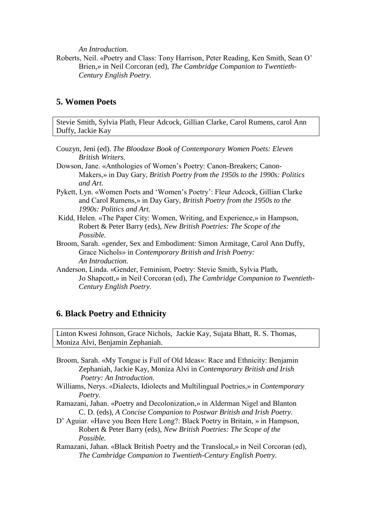*An Introduction.* 

Roberts, Neil. «Poetry and Class: Tony Harrison, Peter Reading, Ken Smith, Sean O' Brien,» in Neil Corcoran (ed), *The Cambridge Companion to Twentieth-Century English Poetry.*

## **5. Women Poets**

Stevie Smith, Sylvia Plath, Fleur Adcock, Gillian Clarke, Carol Rumens, carol Ann Duffy, Jackie Kay

- Couzyn, Jeni (ed). *The Bloodaxe Book of Contemporary Women Poets: Eleven British Writers.*
- Dowson, Jane. «Anthologies of Women's Poetry: Canon-Breakers; Canon-Makers,» in Day Gary, *British Poetry from the 1950s to the 1990s: Politics and Art.*
- Pykett, Lyn. «Women Poets and 'Women's Poetry': Fleur Adcock, Gillian Clarke and Carol Rumens,» in Day Gary, *British Poetry from the 1950s to the 1990s: Politics and Art.*
- Kidd, Helen. «The Paper City: Women, Writing, and Experience,» in Hampson, Robert & Peter Barry (eds), *New British Poetries: The Scope of the Possible.*
- Broom, Sarah. «gender, Sex and Embodiment: Simon Armitage, Carol Ann Duffy, Grace Nichols» in *Contemporary British and Irish Poetry: An Introduction.*
- Anderson, Linda. «Gender, Feminism, Poetry: Stevie Smith, Sylvia Plath, Jo Shapcott,» in Neil Corcoran (ed), *The Cambridge Companion to Twentieth-Century English Poetry.*

## **6. Black Poetry and Ethnicity**

Linton Kwesi Johnson, Grace Nichols, Jackie Kay, Sujata Bhatt, R. S. Thomas, Moniza Alvi, Benjamin Zephaniah.

- Broom, Sarah. «My Tongue is Full of Old Ideas»: Race and Ethnicity: Benjamin Zephaniah, Jackie Kay, Moniza Alvi in *Contemporary British and Irish Poetry: An Introduction.*
- Williams, Nerys. «Dialects, Idiolects and Multilingual Poetries,» in *Contemporary Poetry.*
- Ramazani, Jahan. «Poetry and Decolonization,» in Alderman Nigel and Blanton C. D. (eds), *A Concise Companion to Postwar British and Irish Poetry.*
- D' Aguiar. «Have you Been Here Long?: Black Poetry in Britain, » in Hampson, Robert & Peter Barry (eds), *New British Poetries: The Scope of the Possible.*
- Ramazani, Jahan. «Black British Poetry and the Translocal,» in Neil Corcoran (ed), *The Cambridge Companion to Twentieth-Century English Poetry.*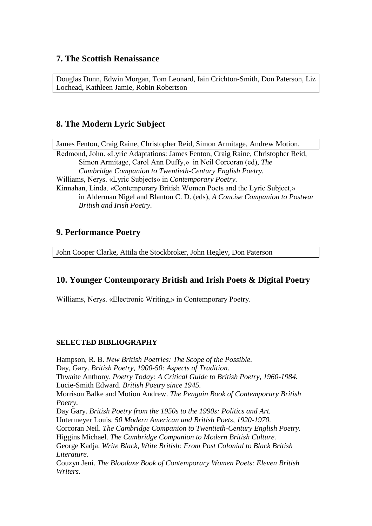## **7. The Scottish Renaissance**

Douglas Dunn, Edwin Morgan, Tom Leonard, Iain Crichton-Smith, Don Paterson, Liz Lochead, Kathleen Jamie, Robin Robertson

# **8. The Modern Lyric Subject**

James Fenton, Craig Raine, Christopher Reid, Simon Armitage, Andrew Motion. Redmond, John. «Lyric Adaptations: James Fenton, Craig Raine, Christopher Reid, Simon Armitage, Carol Ann Duffy,» in Neil Corcoran (ed), *The Cambridge Companion to Twentieth-Century English Poetry.*  Williams, Nerys. «Lyric Subjects» in *Contemporary Poetry.* Kinnahan, Linda. «Contemporary British Women Poets and the Lyric Subject,» in Alderman Nigel and Blanton C. D. (eds), *A Concise Companion to Postwar British and Irish Poetry.* 

## **9. Performance Poetry**

John Cooper Clarke, Attila the Stockbroker, John Hegley, Don Paterson

## **10. Younger Contemporary British and Irish Poets & Digital Poetry**

Williams, Nerys. «Electronic Writing,» in Contemporary Poetry.

## **SELECTED BIBLIOGRAPHY**

Hampson, R. B. *New British Poetries: The Scope of the Possible.* Day, Gary. *British Poetry, 1900-50: Aspects of Tradition.* Thwaite Anthony. *Poetry Today: A Critical Guide to British Poetry, 1960-1984.* Lucie-Smith Edward. *British Poetry since 1945.* Morrison Balke and Motion Andrew. *The Penguin Book of Contemporary British Poetry.* Day Gary. *British Poetry from the 1950s to the 1990s: Politics and Art.* Untermeyer Louis. *50 Modern American and British Poets, 1920-1970.* Corcoran Neil. *The Cambridge Companion to Twentieth-Century English Poetry.* Higgins Michael. *The Cambridge Companion to Modern British Culture.* George Kadja. *Write Black, Wtite British: From Post Colonial to Black British Literature.* Couzyn Jeni. *The Bloodaxe Book of Contemporary Women Poets: Eleven British Writers.*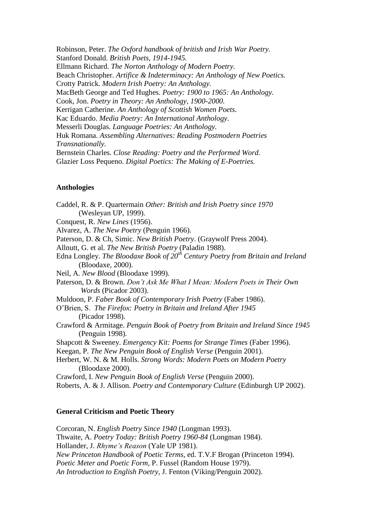Robinson, Peter. *The Oxford handbook of british and Irish War Poetry.* Stanford Donald. *British Poets, 1914-1945.* Ellmann Richard. *The Norton Anthology of Modern Poetry.* Beach Christopher. *Artifice & Indeterminacy: An Anthology of New Poetics.* Crotty Patrick. *Modern Irish Poetry: An Anthology.* MacBeth George and Ted Hughes. *Poetry: 1900 to 1965: An Anthology.* Cook, Jon. *Poetry in Theory: An Anthology, 1900-2000.* Kerrigan Catherine. *An Anthology of Scottish Women Poets.* Kac Eduardo. *Media Poetry: An International Anthology.* Messerli Douglas. *Language Poetries: An Anthology.* Huk Romana. *Assembling Alternatives: Reading Postmodern Poetries Transnationally.* Bernstein Charles. *Close Reading: Poetry and the Performed Word.* Glazier Loss Pequeno. *Digital Poetics: The Making of E-Poetries.*

#### **Anthologies**

Caddel, R. & P. Quartermain *Other: British and Irish Poetry since 1970* (Wesleyan UP, 1999). Conquest, R. *New Lines* (1956). Alvarez, A. *The New Poetry* (Penguin 1966). Paterson, D. & Ch, Simic. *New British Poetry*. (Graywolf Press 2004). Allnutt, G. et al. *The New British Poetry* (Paladin 1988). Edna Longley. *The Bloodaxe Book of 20th Century Poetry from Britain and Ireland* (Bloodaxe, 2000). Neil, A. *New Blood* (Bloodaxe 1999). Paterson, D. & Brown. *Don't Ask Me What I Mean: Modern Poets in Their Own Words* (Picador 2003). Muldoon, P. *Faber Book of Contemporary Irish Poetry* (Faber 1986). O'Brien, S. *The Firefox: Poetry in Britain and Ireland After 1945* (Picador 1998). Crawford & Armitage. *Penguin Book of Poetry from Britain and Ireland Since 1945* (Penguin 1998). Shapcott & Sweeney. *Emergency Kit: Poems for Strange Times* (Faber 1996). Keegan, P. *The New Penguin Book of English Verse* (Penguin 2001). Herbert, W. N. & M. Holls. *Strong Words: Modern Poets on Modern Poetry* (Bloodaxe 2000). Crawford, I. *New Penguin Book of English Verse* (Penguin 2000). Roberts, A. & J. Allison. *Poetry and Contemporary Culture* (Edinburgh UP 2002).

#### **General Criticism and Poetic Theory**

Corcoran, N. *English Poetry Since 1940* (Longman 1993). Thwaite, A. *Poetry Today: British Poetry 1960-84* (Longman 1984). Hollander, J. *Rhyme's Reason* (Yale UP 1981). *New Princeton Handbook of Poetic Terms*, ed. T.V.F Brogan (Princeton 1994). *Poetic Meter and Poetic Form,* P. Fussel (Random House 1979). *An Introduction to English Poetry,* J. Fenton (Viking/Penguin 2002).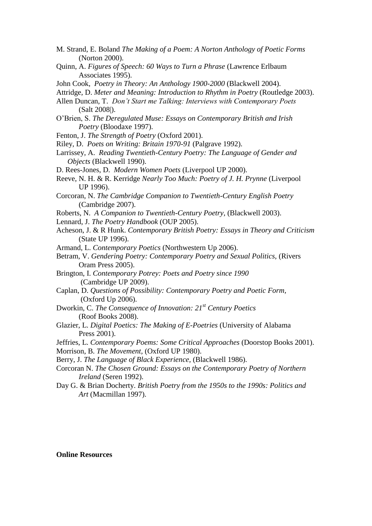- M. Strand, E. Boland *The Making of a Poem: A Norton Anthology of Poetic Forms* (Norton 2000).
- Quinn, A. *Figures of Speech: 60 Ways to Turn a Phrase* (Lawrence Erlbaum Associates 1995).
- John Cook, *Poetry in Theory: An Anthology 1900-2000* (Blackwell 2004).
- Attridge, D. *Meter and Meaning: Introduction to Rhythm in Poetry* (Routledge 2003).
- Allen Duncan, T. *Don't Start me Talking: Interviews with Contemporary Poets* (Salt 2008|).
- O'Brien, S. *The Deregulated Muse: Essays on Contemporary British and Irish Poetry* (Bloodaxe 1997).
- Fenton, J. *The Strength of Poetry* (Oxford 2001).
- Riley, D. *Poets on Writing: Britain 1970-91* (Palgrave 1992).
- Larrissey, A. *Reading Twentieth-Century Poetry: The Language of Gender and Objects* (Blackwell 1990).
- D. Rees-Jones, D. *Modern Women Poets* (Liverpool UP 2000).
- Reeve, N. H. & R. Kerridge *Nearly Too Much: Poetry of J. H. Prynne* (Liverpool UP 1996).
- Corcoran, N. *The Cambridge Companion to Twentieth-Century English Poetry* (Cambridge 2007).
- Roberts, N. *A Companion to Twentieth-Century Poetry,* (Blackwell 2003).
- Lennard, J. *The Poetry Handbook* (OUP 2005).
- Acheson, J. & R Hunk. *Contemporary British Poetry: Essays in Theory and Criticism* (State UP 1996).
- Armand, L. *Contemporary Poetics* (Northwestern Up 2006).
- Betram, V. *Gendering Poetry: Contemporary Poetry and Sexual Politics,* (Rivers Oram Press 2005).
- Brington, I. *Contemporary Potrey: Poets and Poetry since 1990* (Cambridge UP 2009).
- Caplan, D. *Questions of Possibility: Contemporary Poetry and Poetic Form,* (Oxford Up 2006).
- Dworkin, C. *The Consequence of Innovation: 21st Century Poetics* (Roof Books 2008).
- Glazier, L. *Digital Poetics: The Making of E-Poetries* (University of Alabama Press 2001).

Jeffries, L. *Contemporary Poems: Some Critical Approaches* (Doorstop Books 2001).

- Morrison, B. *The Movement,* (Oxford UP 1980).
- Berry, J. *The Language of Black Experience,* (Blackwell 1986).
- Corcoran N. *The Chosen Ground: Essays on the Contemporary Poetry of Northern Ireland* (Seren 1992).
- Day G. & Brian Docherty. *British Poetry from the 1950s to the 1990s: Politics and Art* (Macmillan 1997).

**Online Resources**